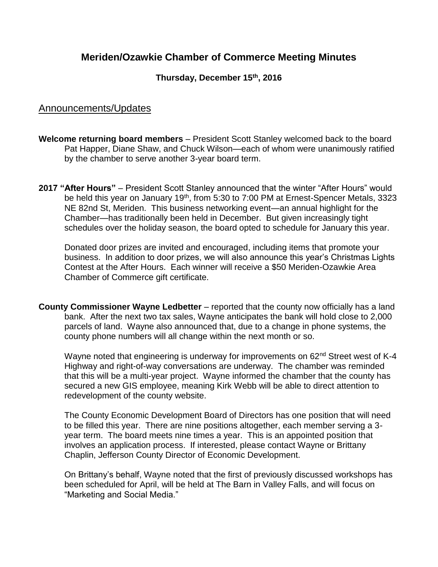# **Meriden/Ozawkie Chamber of Commerce Meeting Minutes**

#### **Thursday, December 15th , 2016**

### Announcements/Updates

- **Welcome returning board members** President Scott Stanley welcomed back to the board Pat Happer, Diane Shaw, and Chuck Wilson—each of whom were unanimously ratified by the chamber to serve another 3-year board term.
- **2017 "After Hours"** President Scott Stanley announced that the winter "After Hours" would be held this year on January 19<sup>th</sup>, from 5:30 to 7:00 PM at Ernest-Spencer Metals, 3323 NE 82nd St, Meriden. This business networking event—an annual highlight for the Chamber—has traditionally been held in December. But given increasingly tight schedules over the holiday season, the board opted to schedule for January this year.

Donated door prizes are invited and encouraged, including items that promote your business. In addition to door prizes, we will also announce this year's Christmas Lights Contest at the After Hours. Each winner will receive a \$50 Meriden-Ozawkie Area Chamber of Commerce gift certificate.

**County Commissioner Wayne Ledbetter** – reported that the county now officially has a land bank. After the next two tax sales, Wayne anticipates the bank will hold close to 2,000 parcels of land. Wayne also announced that, due to a change in phone systems, the county phone numbers will all change within the next month or so.

Wayne noted that engineering is underway for improvements on 62<sup>nd</sup> Street west of K-4 Highway and right-of-way conversations are underway. The chamber was reminded that this will be a multi-year project. Wayne informed the chamber that the county has secured a new GIS employee, meaning Kirk Webb will be able to direct attention to redevelopment of the county website.

The County Economic Development Board of Directors has one position that will need to be filled this year. There are nine positions altogether, each member serving a 3 year term. The board meets nine times a year. This is an appointed position that involves an application process. If interested, please contact Wayne or Brittany Chaplin, Jefferson County Director of Economic Development.

On Brittany's behalf, Wayne noted that the first of previously discussed workshops has been scheduled for April, will be held at The Barn in Valley Falls, and will focus on "Marketing and Social Media."